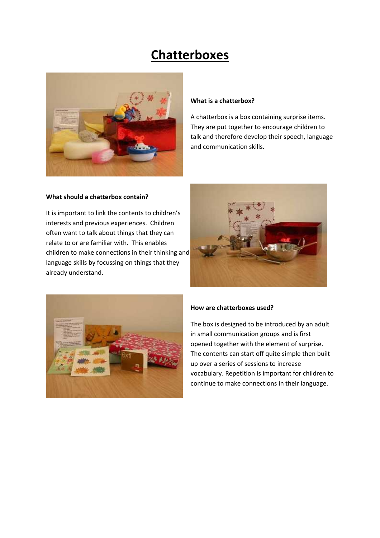# **Chatterboxes**



#### **What is a chatterbox?**

A chatterbox is a box containing surprise items. They are put together to encourage children to talk and therefore develop their speech, language and communication skills.

#### **What should a chatterbox contain?**

It is important to link the contents to children's interests and previous experiences. Children often want to talk about things that they can relate to or are familiar with. This enables children to make connections in their thinking and language skills by focussing on things that they already understand.





#### **How are chatterboxes used?**

The box is designed to be introduced by an adult in small communication groups and is first opened together with the element of surprise. The contents can start off quite simple then built up over a series of sessions to increase vocabulary. Repetition is important for children to continue to make connections in their language.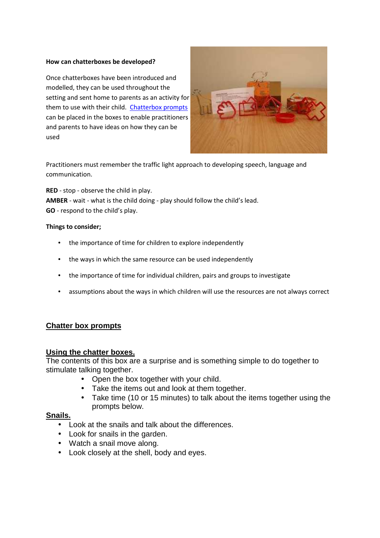#### **How can chatterboxes be developed?**

Once chatterboxes have been introduced and modelled, they can be used throughout the setting and sent home to parents as an activity for them to use with their child. Chatterbox prompts can be placed in the boxes to enable practitioners and parents to have ideas on how they can be used



Practitioners must remember the traffic light approach to developing speech, language and communication.

**RED** - stop - observe the child in play. **AMBER** - wait - what is the child doing - play should follow the child's lead. **GO** - respond to the child's play.

#### **Things to consider;**

- the importance of time for children to explore independently
- the ways in which the same resource can be used independently
- the importance of time for individual children, pairs and groups to investigate
- assumptions about the ways in which children will use the resources are not always correct

### **Chatter box prompts**

#### **Using the chatter boxes.**

The contents of this box are a surprise and is something simple to do together to stimulate talking together.

- Open the box together with your child.
- Take the items out and look at them together.
- Take time (10 or 15 minutes) to talk about the items together using the prompts below.

#### **Snails.**

- Look at the snails and talk about the differences.
- Look for snails in the garden.
- Watch a snail move along.
- Look closely at the shell, body and eyes.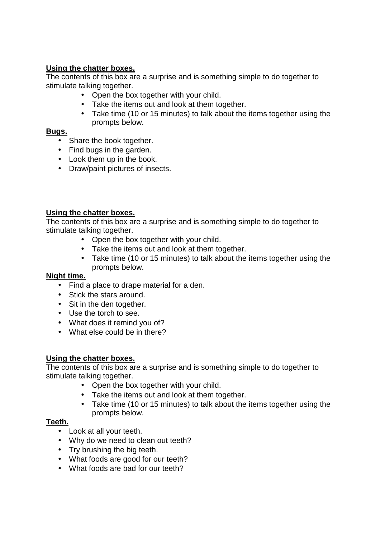## **Using the chatter boxes.**

The contents of this box are a surprise and is something simple to do together to stimulate talking together.

- Open the box together with your child.
- Take the items out and look at them together.
- Take time (10 or 15 minutes) to talk about the items together using the prompts below.

## **Bugs.**

- Share the book together.
- Find bugs in the garden.
- Look them up in the book.
- Draw/paint pictures of insects.

# **Using the chatter boxes.**

The contents of this box are a surprise and is something simple to do together to stimulate talking together.

- Open the box together with your child.
- Take the items out and look at them together.
- Take time (10 or 15 minutes) to talk about the items together using the prompts below.

### **Night time.**

- Find a place to drape material for a den.
- Stick the stars around.
- Sit in the den together.
- Use the torch to see.
- What does it remind you of?
- What else could be in there?

# **Using the chatter boxes.**

The contents of this box are a surprise and is something simple to do together to stimulate talking together.

- Open the box together with your child.
- Take the items out and look at them together.
- Take time (10 or 15 minutes) to talk about the items together using the prompts below.

# **Teeth.**

- Look at all your teeth.
- Why do we need to clean out teeth?
- Try brushing the big teeth.
- What foods are good for our teeth?
- What foods are bad for our teeth?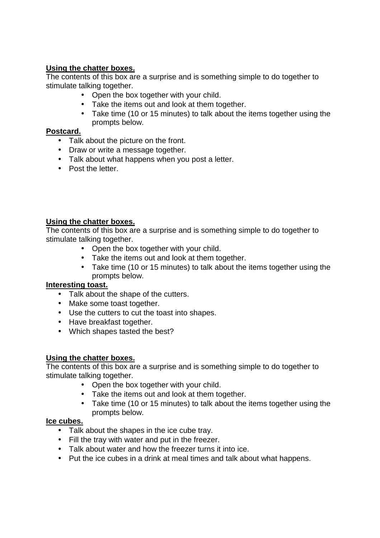## **Using the chatter boxes.**

The contents of this box are a surprise and is something simple to do together to stimulate talking together.

- Open the box together with your child.
- Take the items out and look at them together.
- Take time (10 or 15 minutes) to talk about the items together using the prompts below.

## **Postcard.**

- Talk about the picture on the front.
- Draw or write a message together.
- Talk about what happens when you post a letter.
- Post the letter.

## **Using the chatter boxes.**

The contents of this box are a surprise and is something simple to do together to stimulate talking together.

- Open the box together with your child.
- Take the items out and look at them together.
- Take time (10 or 15 minutes) to talk about the items together using the prompts below.

### **Interesting toast.**

- Talk about the shape of the cutters.
- Make some toast together.
- Use the cutters to cut the toast into shapes.
- Have breakfast together.
- Which shapes tasted the best?

### **Using the chatter boxes.**

The contents of this box are a surprise and is something simple to do together to stimulate talking together.

- Open the box together with your child.
- Take the items out and look at them together.
- Take time (10 or 15 minutes) to talk about the items together using the prompts below.

### **Ice cubes.**

- Talk about the shapes in the ice cube tray.
- Fill the tray with water and put in the freezer.
- Talk about water and how the freezer turns it into ice.
- Put the ice cubes in a drink at meal times and talk about what happens.